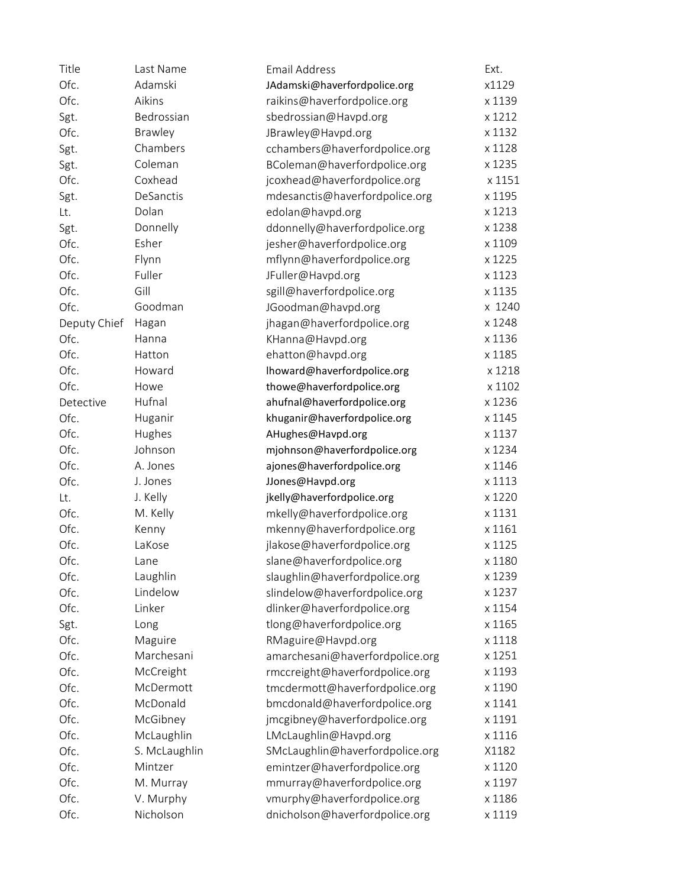| Title        | Last Name     | <b>Email Address</b>            | Ext.   |
|--------------|---------------|---------------------------------|--------|
| Ofc.         | Adamski       | JAdamski@haverfordpolice.org    | x1129  |
| Ofc.         | Aikins        | raikins@haverfordpolice.org     | x 1139 |
| Sgt.         | Bedrossian    | sbedrossian@Havpd.org           | x 1212 |
| Ofc.         | Brawley       | JBrawley@Havpd.org              | x 1132 |
| Sgt.         | Chambers      | cchambers@haverfordpolice.org   | x 1128 |
| Sgt.         | Coleman       | BColeman@haverfordpolice.org    | x 1235 |
| Ofc.         | Coxhead       | jcoxhead@haverfordpolice.org    | x 1151 |
| Sgt.         | DeSanctis     | mdesanctis@haverfordpolice.org  | x 1195 |
| Lt.          | Dolan         | edolan@havpd.org                | x 1213 |
| Sgt.         | Donnelly      | ddonnelly@haverfordpolice.org   | x 1238 |
| Ofc.         | Esher         | jesher@haverfordpolice.org      | x 1109 |
| Ofc.         | Flynn         | mflynn@haverfordpolice.org      | x 1225 |
| Ofc.         | Fuller        | JFuller@Havpd.org               | x 1123 |
| Ofc.         | Gill          | sgill@haverfordpolice.org       | x 1135 |
| Ofc.         | Goodman       | JGoodman@havpd.org              | x 1240 |
| Deputy Chief | Hagan         | jhagan@haverfordpolice.org      | x 1248 |
| Ofc.         | Hanna         | KHanna@Havpd.org                | x 1136 |
| Ofc.         | Hatton        | ehatton@havpd.org               | x 1185 |
| Ofc.         | Howard        | lhoward@haverfordpolice.org     | x 1218 |
| Ofc.         | Howe          | thowe@haverfordpolice.org       | x 1102 |
| Detective    | Hufnal        | ahufnal@haverfordpolice.org     | x 1236 |
| Ofc.         | Huganir       | khuganir@haverfordpolice.org    | x 1145 |
| Ofc.         | Hughes        | AHughes@Havpd.org               | x 1137 |
| Ofc.         | Johnson       | mjohnson@haverfordpolice.org    | x 1234 |
| Ofc.         | A. Jones      | ajones@haverfordpolice.org      | x 1146 |
| Ofc.         | J. Jones      | JJones@Havpd.org                | x 1113 |
| Lt.          | J. Kelly      | jkelly@haverfordpolice.org      | x 1220 |
| Ofc.         | M. Kelly      | mkelly@haverfordpolice.org      | x 1131 |
| Ofc.         | Kenny         | mkenny@haverfordpolice.org      | x 1161 |
| Ofc.         | LaKose        | jlakose@haverfordpolice.org     | x 1125 |
| Ofc.         | Lane          | slane@haverfordpolice.org       | x 1180 |
| Ofc.         | Laughlin      | slaughlin@haverfordpolice.org   | x 1239 |
| Ofc.         | Lindelow      | slindelow@haverfordpolice.org   | x 1237 |
| Ofc.         | Linker        | dlinker@haverfordpolice.org     | x 1154 |
| Sgt.         | Long          | tlong@haverfordpolice.org       | x 1165 |
| Ofc.         | Maguire       | RMaguire@Havpd.org              | x 1118 |
| Ofc.         | Marchesani    | amarchesani@haverfordpolice.org | x 1251 |
| Ofc.         | McCreight     | rmccreight@haverfordpolice.org  | x 1193 |
| Ofc.         | McDermott     | tmcdermott@haverfordpolice.org  | x 1190 |
| Ofc.         | McDonald      | bmcdonald@haverfordpolice.org   | x 1141 |
| Ofc.         | McGibney      | jmcgibney@haverfordpolice.org   | x 1191 |
| Ofc.         | McLaughlin    | LMcLaughlin@Havpd.org           | x 1116 |
| Ofc.         | S. McLaughlin | SMcLaughlin@haverfordpolice.org | X1182  |
| Ofc.         | Mintzer       | emintzer@haverfordpolice.org    | x 1120 |
| Ofc.         | M. Murray     | mmurray@haverfordpolice.org     | x 1197 |
| Ofc.         | V. Murphy     | vmurphy@haverfordpolice.org     | x 1186 |
| Ofc.         | Nicholson     | dnicholson@haverfordpolice.org  | x 1119 |
|              |               |                                 |        |